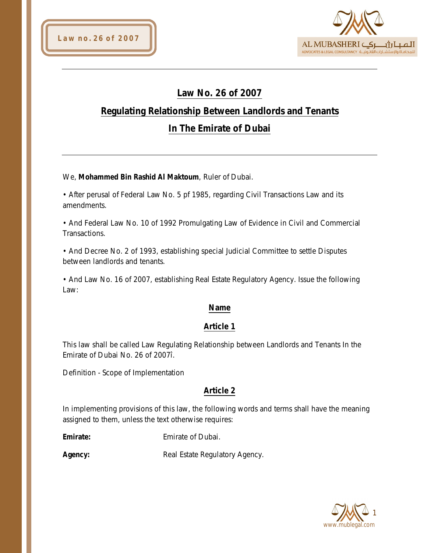

# **Law No. 26 of 2007**

# **Regulating Relationship Between Landlords and Tenants**

# **In The Emirate of Dubai**

We, **Mohammed Bin Rashid Al Maktoum**, Ruler of Dubai.

• After perusal of Federal Law No. 5 pf 1985, regarding Civil Transactions Law and its amendments.

• And Federal Law No. 10 of 1992 Promulgating Law of Evidence in Civil and Commercial Transactions.

• And Decree No. 2 of 1993, establishing special Judicial Committee to settle Disputes between landlords and tenants.

• And Law No. 16 of 2007, establishing Real Estate Regulatory Agency. Issue the following Law:

# **Name**

# **Article 1**

This law shall be called Law Regulating Relationship between Landlords and Tenants In the Emirate of Dubai No. 26 of 2007î.

Definition - Scope of Implementation

# **Article 2**

In implementing provisions of this law, the following words and terms shall have the meaning assigned to them, unless the text otherwise requires:

**Emirate:** Emirate of Dubai.

Agency: Real Estate Regulatory Agency.

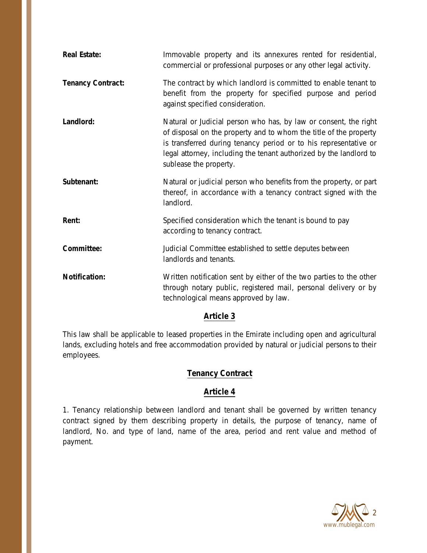| <b>Real Estate:</b>      | Immovable property and its annexures rented for residential,<br>commercial or professional purposes or any other legal activity.                                                                                                                                                                          |
|--------------------------|-----------------------------------------------------------------------------------------------------------------------------------------------------------------------------------------------------------------------------------------------------------------------------------------------------------|
| <b>Tenancy Contract:</b> | The contract by which landlord is committed to enable tenant to<br>benefit from the property for specified purpose and period<br>against specified consideration.                                                                                                                                         |
| Landlord:                | Natural or Judicial person who has, by law or consent, the right<br>of disposal on the property and to whom the title of the property<br>is transferred during tenancy period or to his representative or<br>legal attorney, including the tenant authorized by the landlord to<br>sublease the property. |
| Subtenant:               | Natural or judicial person who benefits from the property, or part<br>thereof, in accordance with a tenancy contract signed with the<br>landlord.                                                                                                                                                         |
| Rent:                    | Specified consideration which the tenant is bound to pay<br>according to tenancy contract.                                                                                                                                                                                                                |
| Committee:               | Judicial Committee established to settle deputes between<br>landlords and tenants.                                                                                                                                                                                                                        |
| <b>Notification:</b>     | Written notification sent by either of the two parties to the other<br>through notary public, registered mail, personal delivery or by<br>technological means approved by law.                                                                                                                            |

## **Article 3**

This law shall be applicable to leased properties in the Emirate including open and agricultural lands, excluding hotels and free accommodation provided by natural or judicial persons to their employees.

# **Tenancy Contract**

## **Article 4**

1. Tenancy relationship between landlord and tenant shall be governed by written tenancy contract signed by them describing property in details, the purpose of tenancy, name of landlord, No. and type of land, name of the area, period and rent value and method of payment.

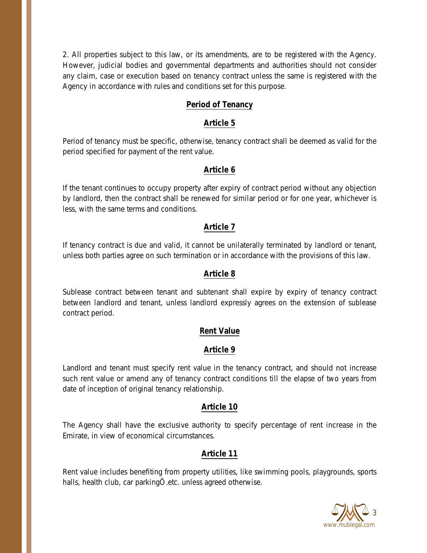2. All properties subject to this law, or its amendments, are to be registered with the Agency. However, judicial bodies and governmental departments and authorities should not consider any claim, case or execution based on tenancy contract unless the same is registered with the Agency in accordance with rules and conditions set for this purpose.

#### **Period of Tenancy**

#### **Article 5**

Period of tenancy must be specific, otherwise, tenancy contract shall be deemed as valid for the period specified for payment of the rent value.

## **Article 6**

If the tenant continues to occupy property after expiry of contract period without any objection by landlord, then the contract shall be renewed for similar period or for one year, whichever is less, with the same terms and conditions.

## **Article 7**

If tenancy contract is due and valid, it cannot be unilaterally terminated by landlord or tenant, unless both parties agree on such termination or in accordance with the provisions of this law.

## **Article 8**

Sublease contract between tenant and subtenant shall expire by expiry of tenancy contract between landlord and tenant, unless landlord expressly agrees on the extension of sublease contract period.

## **Rent Value**

## **Article 9**

Landlord and tenant must specify rent value in the tenancy contract, and should not increase such rent value or amend any of tenancy contract conditions till the elapse of two years from date of inception of original tenancy relationship.

## **Article 10**

The Agency shall have the exclusive authority to specify percentage of rent increase in the Emirate, in view of economical circumstances.

## **Article 11**

Rent value includes benefiting from property utilities, like swimming pools, playgrounds, sports halls, health club, car parkingÖ.etc. unless agreed otherwise.

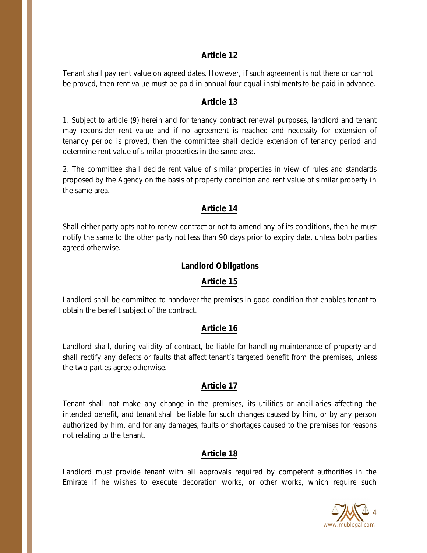#### **Article 12**

Tenant shall pay rent value on agreed dates. However, if such agreement is not there or cannot be proved, then rent value must be paid in annual four equal instalments to be paid in advance.

#### **Article 13**

1. Subject to article (9) herein and for tenancy contract renewal purposes, landlord and tenant may reconsider rent value and if no agreement is reached and necessity for extension of tenancy period is proved, then the committee shall decide extension of tenancy period and determine rent value of similar properties in the same area.

2. The committee shall decide rent value of similar properties in view of rules and standards proposed by the Agency on the basis of property condition and rent value of similar property in the same area.

#### **Article 14**

Shall either party opts not to renew contract or not to amend any of its conditions, then he must notify the same to the other party not less than 90 days prior to expiry date, unless both parties agreed otherwise.

#### **Landlord Obligations**

#### **Article 15**

Landlord shall be committed to handover the premises in good condition that enables tenant to obtain the benefit subject of the contract.

#### **Article 16**

Landlord shall, during validity of contract, be liable for handling maintenance of property and shall rectify any defects or faults that affect tenant's targeted benefit from the premises, unless the two parties agree otherwise.

#### **Article 17**

Tenant shall not make any change in the premises, its utilities or ancillaries affecting the intended benefit, and tenant shall be liable for such changes caused by him, or by any person authorized by him, and for any damages, faults or shortages caused to the premises for reasons not relating to the tenant.

#### **Article 18**

Landlord must provide tenant with all approvals required by competent authorities in the Emirate if he wishes to execute decoration works, or other works, which require such

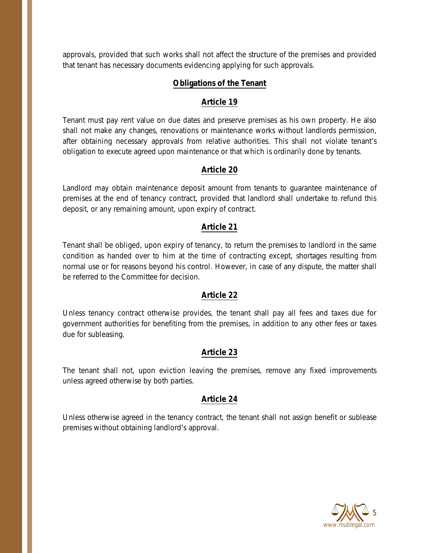approvals, provided that such works shall not affect the structure of the premises and provided that tenant has necessary documents evidencing applying for such approvals.

## **Obligations of the Tenant**

## **Article 19**

Tenant must pay rent value on due dates and preserve premises as his own property. He also shall not make any changes, renovations or maintenance works without landlords permission, after obtaining necessary approvals from relative authorities. This shall not violate tenant's obligation to execute agreed upon maintenance or that which is ordinarily done by tenants.

## **Article 20**

Landlord may obtain maintenance deposit amount from tenants to guarantee maintenance of premises at the end of tenancy contract, provided that landlord shall undertake to refund this deposit, or any remaining amount, upon expiry of contract.

## **Article 21**

Tenant shall be obliged, upon expiry of tenancy, to return the premises to landlord in the same condition as handed over to him at the time of contracting except, shortages resulting from normal use or for reasons beyond his control. However, in case of any dispute, the matter shall be referred to the Committee for decision.

## **Article 22**

Unless tenancy contract otherwise provides, the tenant shall pay all fees and taxes due for government authorities for benefiting from the premises, in addition to any other fees or taxes due for subleasing.

## **Article 23**

The tenant shall not, upon eviction leaving the premises, remove any fixed improvements unless agreed otherwise by both parties.

## **Article 24**

Unless otherwise agreed in the tenancy contract, the tenant shall not assign benefit or sublease premises without obtaining landlord's approval.

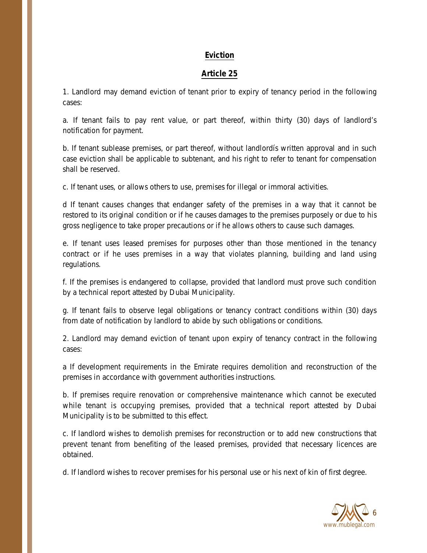#### **Eviction**

#### **Article 25**

1. Landlord may demand eviction of tenant prior to expiry of tenancy period in the following cases:

a. If tenant fails to pay rent value, or part thereof, within thirty (30) days of landlord's notification for payment.

b. If tenant sublease premises, or part thereof, without landlordís written approval and in such case eviction shall be applicable to subtenant, and his right to refer to tenant for compensation shall be reserved.

c. If tenant uses, or allows others to use, premises for illegal or immoral activities.

d If tenant causes changes that endanger safety of the premises in a way that it cannot be restored to its original condition or if he causes damages to the premises purposely or due to his gross negligence to take proper precautions or if he allows others to cause such damages.

e. If tenant uses leased premises for purposes other than those mentioned in the tenancy contract or if he uses premises in a way that violates planning, building and land using regulations.

f. If the premises is endangered to collapse, provided that landlord must prove such condition by a technical report attested by Dubai Municipality.

g. If tenant fails to observe legal obligations or tenancy contract conditions within (30) days from date of notification by landlord to abide by such obligations or conditions.

2. Landlord may demand eviction of tenant upon expiry of tenancy contract in the following cases:

a If development requirements in the Emirate requires demolition and reconstruction of the premises in accordance with government authorities instructions.

b. If premises require renovation or comprehensive maintenance which cannot be executed while tenant is occupying premises, provided that a technical report attested by Dubai Municipality is to be submitted to this effect.

c. If landlord wishes to demolish premises for reconstruction or to add new constructions that prevent tenant from benefiting of the leased premises, provided that necessary licences are obtained.

d. If landlord wishes to recover premises for his personal use or his next of kin of first degree.

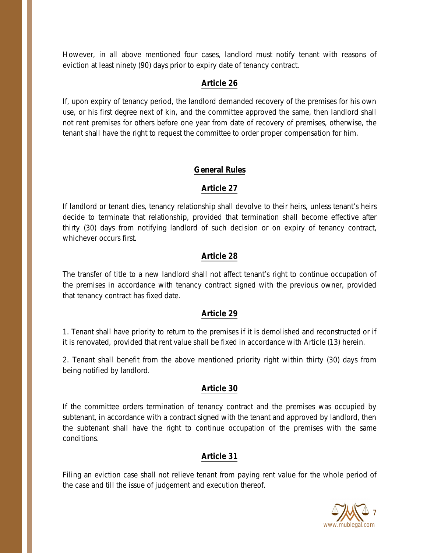However, in all above mentioned four cases, landlord must notify tenant with reasons of eviction at least ninety (90) days prior to expiry date of tenancy contract.

## **Article 26**

If, upon expiry of tenancy period, the landlord demanded recovery of the premises for his own use, or his first degree next of kin, and the committee approved the same, then landlord shall not rent premises for others before one year from date of recovery of premises, otherwise, the tenant shall have the right to request the committee to order proper compensation for him.

## **General Rules**

## **Article 27**

If landlord or tenant dies, tenancy relationship shall devolve to their heirs, unless tenant's heirs decide to terminate that relationship, provided that termination shall become effective after thirty (30) days from notifying landlord of such decision or on expiry of tenancy contract, whichever occurs first.

## **Article 28**

The transfer of title to a new landlord shall not affect tenant's right to continue occupation of the premises in accordance with tenancy contract signed with the previous owner, provided that tenancy contract has fixed date.

## **Article 29**

1. Tenant shall have priority to return to the premises if it is demolished and reconstructed or if it is renovated, provided that rent value shall be fixed in accordance with Article (13) herein.

2. Tenant shall benefit from the above mentioned priority right within thirty (30) days from being notified by landlord.

## **Article 30**

If the committee orders termination of tenancy contract and the premises was occupied by subtenant, in accordance with a contract signed with the tenant and approved by landlord, then the subtenant shall have the right to continue occupation of the premises with the same conditions.

## **Article 31**

Filing an eviction case shall not relieve tenant from paying rent value for the whole period of the case and till the issue of judgement and execution thereof.